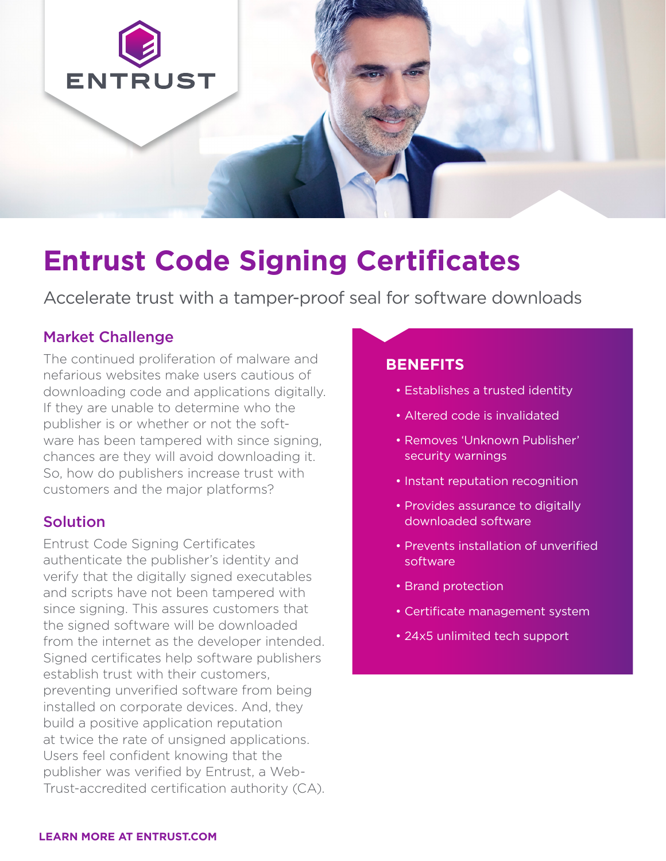

# **Entrust Code Signing Certificates**

Accelerate trust with a tamper-proof seal for software downloads

# Market Challenge

The continued proliferation of malware and nefarious websites make users cautious of downloading code and applications digitally. If they are unable to determine who the publisher is or whether or not the software has been tampered with since signing, chances are they will avoid downloading it. So, how do publishers increase trust with customers and the major platforms?

# Solution

Entrust Code Signing Certificates authenticate the publisher's identity and verify that the digitally signed executables and scripts have not been tampered with since signing. This assures customers that the signed software will be downloaded from the internet as the developer intended. Signed certificates help software publishers establish trust with their customers, preventing unverified software from being installed on corporate devices. And, they build a positive application reputation at twice the rate of unsigned applications. Users feel confident knowing that the publisher was verified by Entrust, a Web-Trust-accredited certification authority (CA).

### **BENEFITS**

- Establishes a trusted identity
- Altered code is invalidated
- Removes 'Unknown Publisher' security warnings
- Instant reputation recognition
- Provides assurance to digitally downloaded software
- Prevents installation of unverified software
- Brand protection
- Certificate management system
- 24x5 unlimited tech support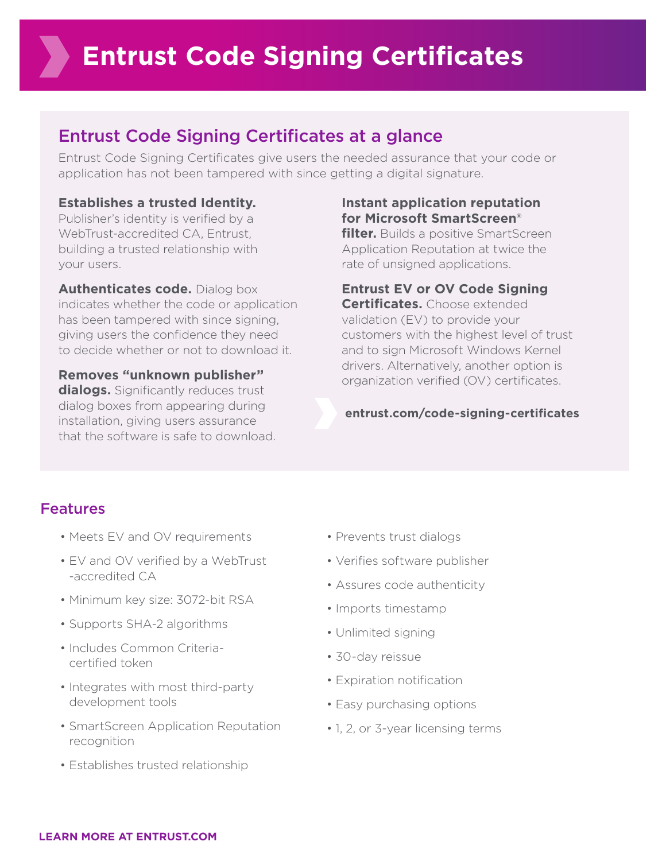# Entrust Code Signing Certificates at a glance

Entrust Code Signing Certificates give users the needed assurance that your code or application has not been tampered with since getting a digital signature.

#### **Establishes a trusted Identity.**

Publisher's identity is verified by a WebTrust-accredited CA, Entrust, building a trusted relationship with your users.

**Authenticates code.** Dialog box indicates whether the code or application has been tampered with since signing, giving users the confidence they need to decide whether or not to download it.

**Removes "unknown publisher" dialogs.** Significantly reduces trust dialog boxes from appearing during installation, giving users assurance that the software is safe to download.

#### **Instant application reputation for Microsoft SmartScreen®**

**filter.** Builds a positive SmartScreen Application Reputation at twice the rate of unsigned applications.

**Entrust EV or OV Code Signing** 

**Certificates.** Choose extended validation (EV) to provide your customers with the highest level of trust and to sign Microsoft Windows Kernel drivers. Alternatively, another option is organization verified (OV) certificates.

**[entrust.com/code-signing-certificates](https://www.entrustdatacard.com/products/digital-signing-certificates/code-signing-certificates)**

## Features

- Meets EV and OV requirements
- EV and OV verified by a WebTrust -accredited CA
- Minimum key size: 3072-bit RSA
- Supports SHA-2 algorithms
- Includes Common Criteriacertified token
- Integrates with most third-party development tools
- SmartScreen Application Reputation recognition
- Establishes trusted relationship
- Prevents trust dialogs
- Verifies software publisher
- Assures code authenticity
- Imports timestamp
- Unlimited signing
- 30-day reissue
- Expiration notification
- Easy purchasing options
- 1, 2, or 3-year licensing terms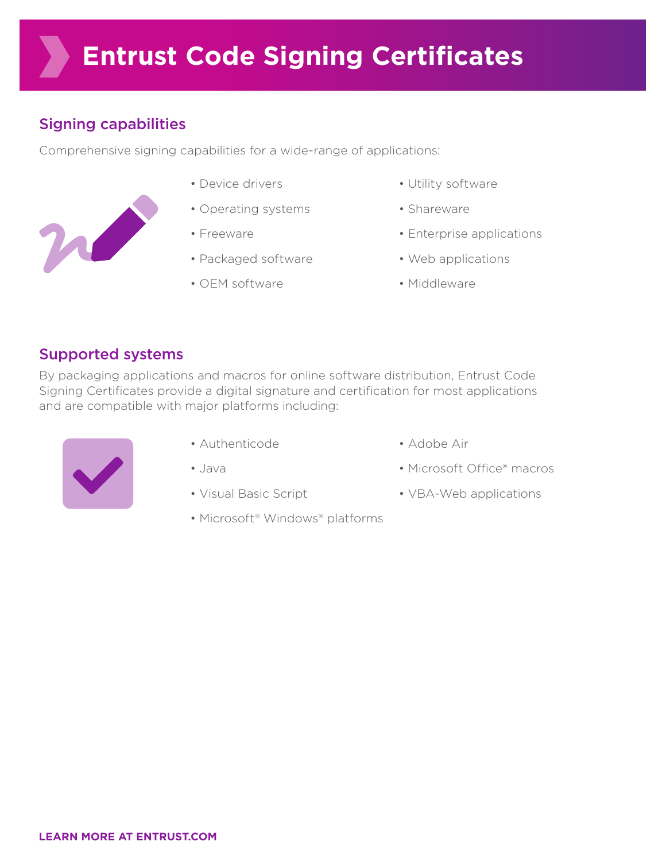# Signing capabilities

Comprehensive signing capabilities for a wide-range of applications:

- m
- Device drivers
- Operating systems
- Freeware
- Packaged software
- OEM software
- Utility software
- Shareware
- Enterprise applications
- Web applications
- Middleware

# Supported systems

By packaging applications and macros for online software distribution, Entrust Code Signing Certificates provide a digital signature and certification for most applications and are compatible with major platforms including:



- Authenticode
- Java
- Visual Basic Script
- Microsoft® Windows® platforms
- Adobe Air
- Microsoft Office® macros
- VBA-Web applications